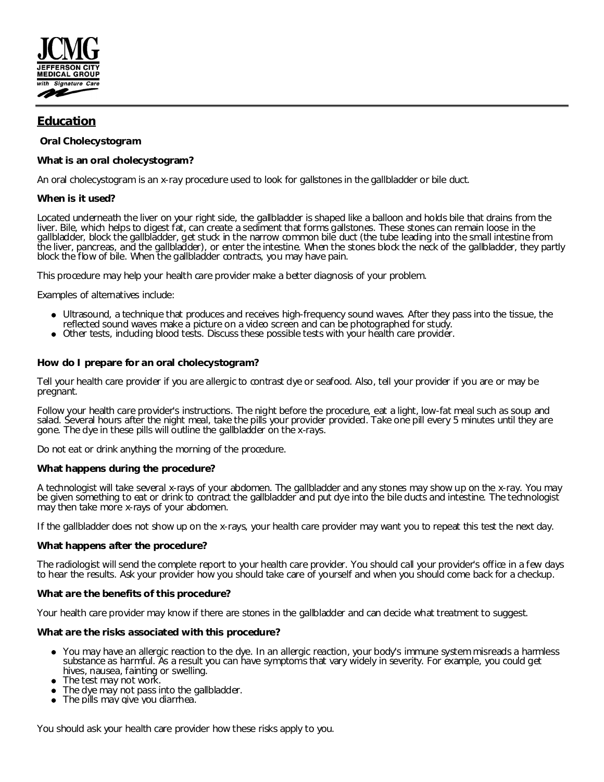

## **Education**

**Oral Cholecystogram**

**What is an oral cholecystogram?**

An oral cholecystogram is an x-ray procedure used to look for gallstones in the gallbladder or bile duct.

**When is it used?**

Located underneath the liver on your right side, the gallbladder is shaped like a balloon and holds bile that drains from the liver. Bile, which helps to digest fat, can create a sediment that forms gallstones. These stones can remain loose in the gallbladder, block the gallbladder, get stuck in the narrow common bile duct (the tube leading into the small intestine from the liver, pancreas, and the gallbladder), or enter the intestine. When the stones block the neck of the gallbladder, they partly block the flow of bile. When the gallbladder contracts, you may have pain.

This procedure may help your health care provider make a better diagnosis of your problem.

Examples of alternatives include:

- Ultrasound, a technique that produces and receives high-frequency sound waves. After they pass into the tissue, the reflected sound waves make a picture on a video screen and can be photographed for study.
- Other tests, including blood tests. Discuss these possible tests with your health care provider.

**How do I prepare for an oral cholecystogram?**

Tell your health care provider if you are allergic to contrast dye or seafood. Also, tell your provider if you are or may be pregnant.

Follow your health care provider's instructions. The night before the procedure, eat a light, low-fat meal such as soup and salad. Several hours after the night meal, take the pills your provider provided. Take one pill every 5 minutes until they are gone. The dye in these pills will outline the gallbladder on the x-rays.

Do not eat or drink anything the morning of the procedure.

**What happens during the procedure?**

A technologist will take several x-rays of your abdomen. The gallbladder and any stones may show up on the x-ray. You may be given something to eat or drink to contract the gallbladder and put dye into the bile ducts and intestine. The technologist may then take more x-rays of your abdomen.

If the gallbladder does not show up on the x-rays, your health care provider may want you to repeat this test the next day.

**What happens after the procedure?**

The radiologist will send the complete report to your health care provider. You should call your provider's office in a few days to hear the results. Ask your provider how you should take care of yourself and when you should come back for a checkup.

**What are the benefits of this procedure?**

Your health care provider may know if there are stones in the gallbladder and can decide what treatment to suggest.

**What are the risks associated with this procedure?**

- You may have an allergic reaction to the dye. In an allergic reaction, your body's immune system misreads a harmless substance as harmful. As a result you can have symptoms that vary widely in severity. For example, you could get hives, nausea, fainting or swelling.
- The test may not work.
- The dye may not pass into the gallbladder.
- The pills may give you diarrhea.

You should ask your health care provider how these risks apply to you.